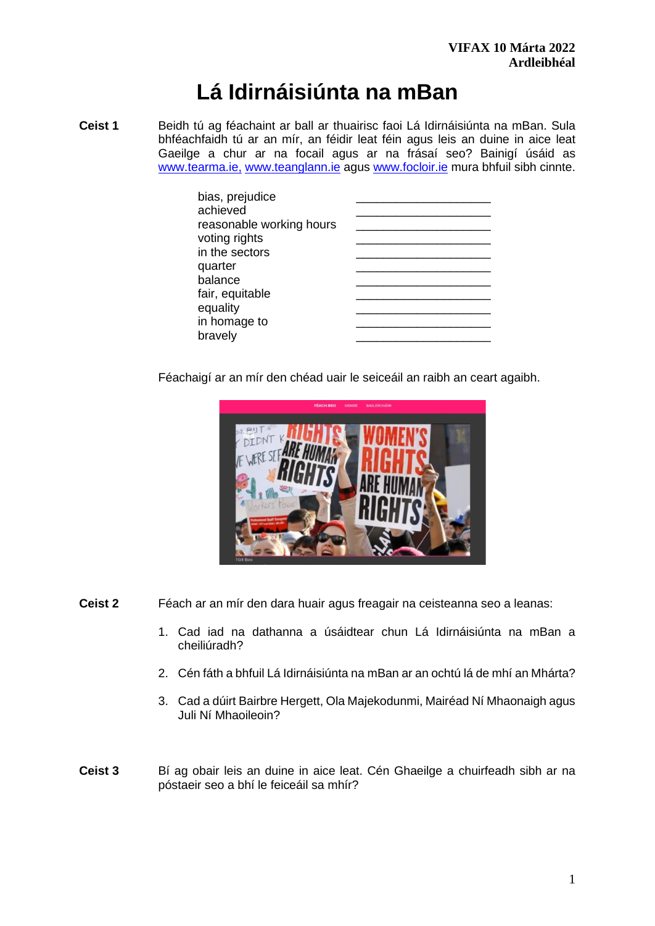# **Lá Idirnáisiúnta na mBan**

**Ceist 1** Beidh tú ag féachaint ar ball ar thuairisc faoi Lá Idirnáisiúnta na mBan. Sula bhféachfaidh tú ar an mír, an féidir leat féin agus leis an duine in aice leat Gaeilge a chur ar na focail agus ar na frásaí seo? Bainigí úsáid as [www.tearma.ie,](http://www.tearma.ie/) [www.teanglann.ie](http://www.teanglann.ie/) agus [www.focloir.ie](http://www.focloir.ie/) mura bhfuil sibh cinnte.

| bias, prejudice<br>achieved |  |
|-----------------------------|--|
| reasonable working hours    |  |
| voting rights               |  |
| in the sectors              |  |
| quarter                     |  |
| balance                     |  |
| fair, equitable             |  |
| equality                    |  |
| in homage to                |  |
| bravely                     |  |

Féachaigí ar an mír den chéad uair le seiceáil an raibh an ceart agaibh.



- **Ceist 2** Féach ar an mír den dara huair agus freagair na ceisteanna seo a leanas:
	- 1. Cad iad na dathanna a úsáidtear chun Lá Idirnáisiúnta na mBan a cheiliúradh?
	- 2. Cén fáth a bhfuil Lá Idirnáisiúnta na mBan ar an ochtú lá de mhí an Mhárta?
	- 3. Cad a dúirt Bairbre Hergett, Ola Majekodunmi, Mairéad Ní Mhaonaigh agus Juli Ní Mhaoileoin?
- **Ceist 3** Bí ag obair leis an duine in aice leat. Cén Ghaeilge a chuirfeadh sibh ar na póstaeir seo a bhí le feiceáil sa mhír?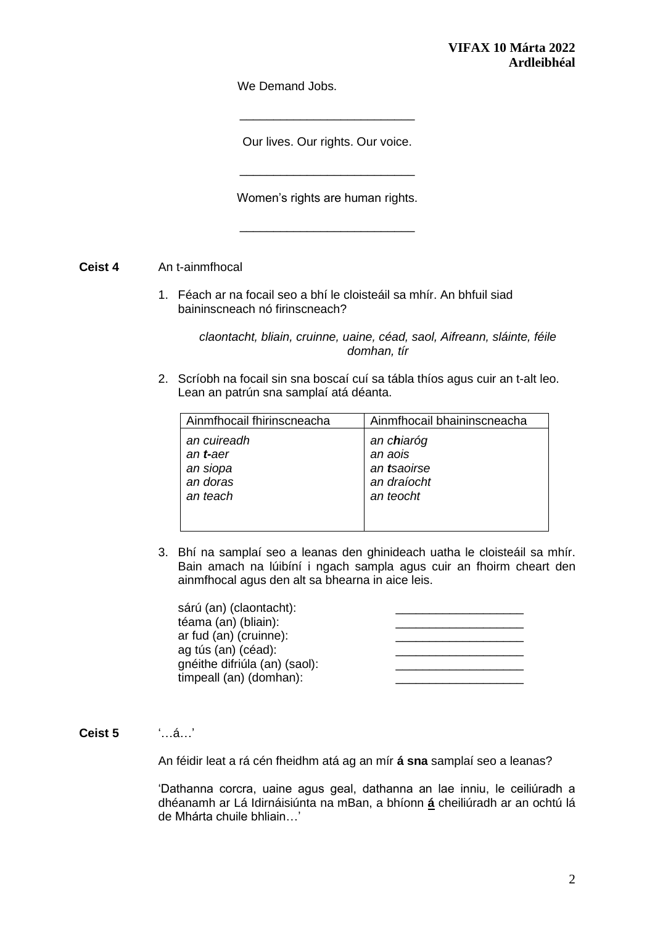We Demand Jobs.

Our lives. Our rights. Our voice.

\_\_\_\_\_\_\_\_\_\_\_\_\_\_\_\_\_\_\_\_\_\_\_\_\_\_

\_\_\_\_\_\_\_\_\_\_\_\_\_\_\_\_\_\_\_\_\_\_\_\_\_\_

Women's rights are human rights.

\_\_\_\_\_\_\_\_\_\_\_\_\_\_\_\_\_\_\_\_\_\_\_\_\_\_

**Ceist 4** An t-ainmfhocal

1. Féach ar na focail seo a bhí le cloisteáil sa mhír. An bhfuil siad baininscneach nó firinscneach?

> *claontacht, bliain, cruinne, uaine, céad, saol, Aifreann, sláinte, féile domhan, tír*

2. Scríobh na focail sin sna boscaí cuí sa tábla thíos agus cuir an t-alt leo. Lean an patrún sna samplaí atá déanta.

| Ainmfhocail fhirinscneacha | Ainmfhocail bhaininscneacha |
|----------------------------|-----------------------------|
| an cuireadh                | an chiaróg                  |
| an <b>t-</b> aer           | an aois<br>an tsaoirse      |
| an siopa<br>an doras       | an draíocht                 |
| an teach                   | an teocht                   |
|                            |                             |
|                            |                             |

3. Bhí na samplaí seo a leanas den ghinideach uatha le cloisteáil sa mhír. Bain amach na lúibíní i ngach sampla agus cuir an fhoirm cheart den ainmfhocal agus den alt sa bhearna in aice leis.

| sárú (an) (claontacht):       |  |
|-------------------------------|--|
| téama (an) (bliain):          |  |
| ar fud (an) (cruinne):        |  |
| ag tús (an) (céad):           |  |
| gnéithe difriúla (an) (saol): |  |
| timpeall (an) (domhan):       |  |
|                               |  |

## **Ceist 5** '…á…'

An féidir leat a rá cén fheidhm atá ag an mír **á sna** samplaí seo a leanas?

'Dathanna corcra, uaine agus geal, dathanna an lae inniu, le ceiliúradh a dhéanamh ar Lá Idirnáisiúnta na mBan, a bhíonn **á** cheiliúradh ar an ochtú lá de Mhárta chuile bhliain…'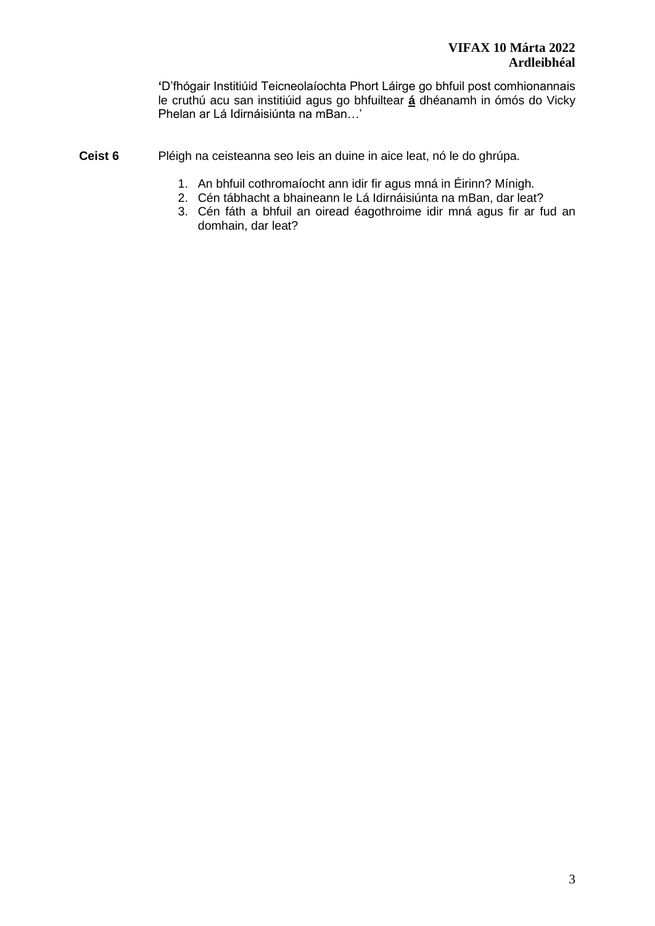**'**D'fhógair Institiúid Teicneolaíochta Phort Láirge go bhfuil post comhionannais le cruthú acu san institiúid agus go bhfuiltear **á** dhéanamh in ómós do Vicky Phelan ar Lá Idirnáisiúnta na mBan…'

- **Ceist 6** Pléigh na ceisteanna seo leis an duine in aice leat, nó le do ghrúpa.
	- 1. An bhfuil cothromaíocht ann idir fir agus mná in Éirinn? Mínigh.
	- 2. Cén tábhacht a bhaineann le Lá Idirnáisiúnta na mBan, dar leat?
	- 3. Cén fáth a bhfuil an oiread éagothroime idir mná agus fir ar fud an domhain, dar leat?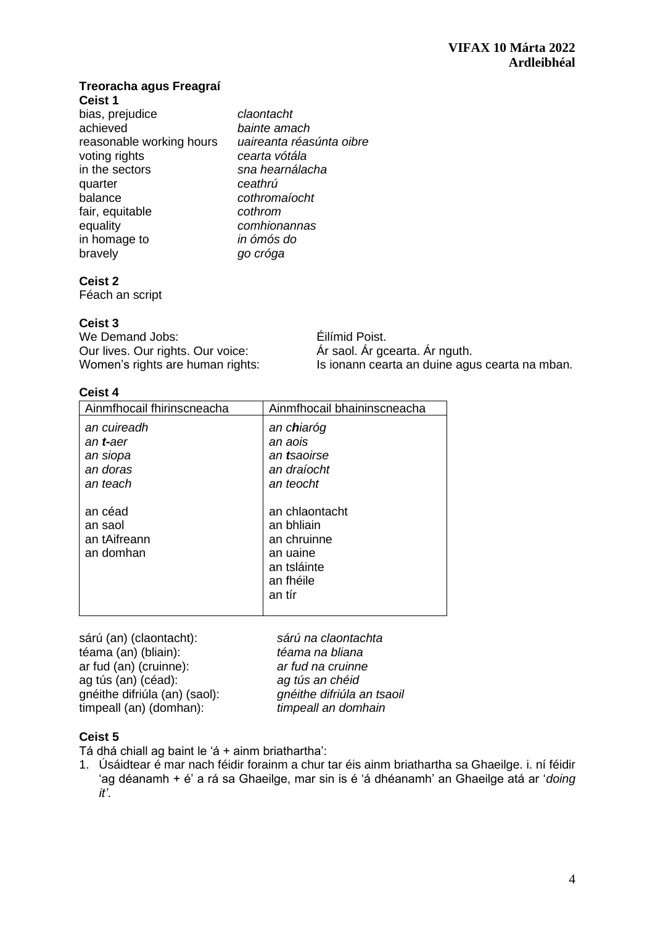#### **Treoracha agus Freagraí Ceist 1**

| bias, prejudice          | claontacht               |
|--------------------------|--------------------------|
| achieved                 | bainte amach             |
| reasonable working hours | uaireanta réasúnta oibre |
| voting rights            | cearta vótála            |
| in the sectors           | sna hearnálacha          |
| quarter                  | ceathrú                  |
| balance                  | cothromaíocht            |
| fair, equitable          | cothrom                  |
| equality                 | comhionannas             |
| in homage to             | in ómós do               |
| bravely                  | go cróga                 |

# **Ceist 2**

Féach an script

# **Ceist 3**

| We Demand Jobs:                   | Éilímid Poist.                                 |
|-----------------------------------|------------------------------------------------|
| Our lives. Our rights. Our voice: | Ár saol. Ár gcearta. Ár nguth.                 |
| Women's rights are human rights:  | Is ionann cearta an duine agus cearta na mban. |

# **Ceist 4**

| Ainmfhocail fhirinscneacha                                          | Ainmfhocail bhaininscneacha                                                                   |
|---------------------------------------------------------------------|-----------------------------------------------------------------------------------------------|
| an cuireadh<br>an <b>t-</b> aer<br>an siopa<br>an doras<br>an teach | an c <b>h</b> iaróg<br>an aois<br>an tsaoirse<br>an draíocht<br>an teocht                     |
| an céad<br>an saol<br>an tAifreann<br>an domhan                     | an chlaontacht<br>an bhliain<br>an chruinne<br>an uaine<br>an tsláinte<br>an fhéile<br>an tír |

| sárú na claontachta        |
|----------------------------|
| téama na bliana            |
| ar fud na cruinne          |
| ag tús an chéid            |
| gnéithe difriúla an tsaoil |
| timpeall an domhain        |
|                            |

## **Ceist 5**

Tá dhá chiall ag baint le 'á + ainm briathartha':

1. Úsáidtear é mar nach féidir forainm a chur tar éis ainm briathartha sa Ghaeilge. i. ní féidir 'ag déanamh + é' a rá sa Ghaeilge, mar sin is é 'á dhéanamh' an Ghaeilge atá ar '*doing it'*.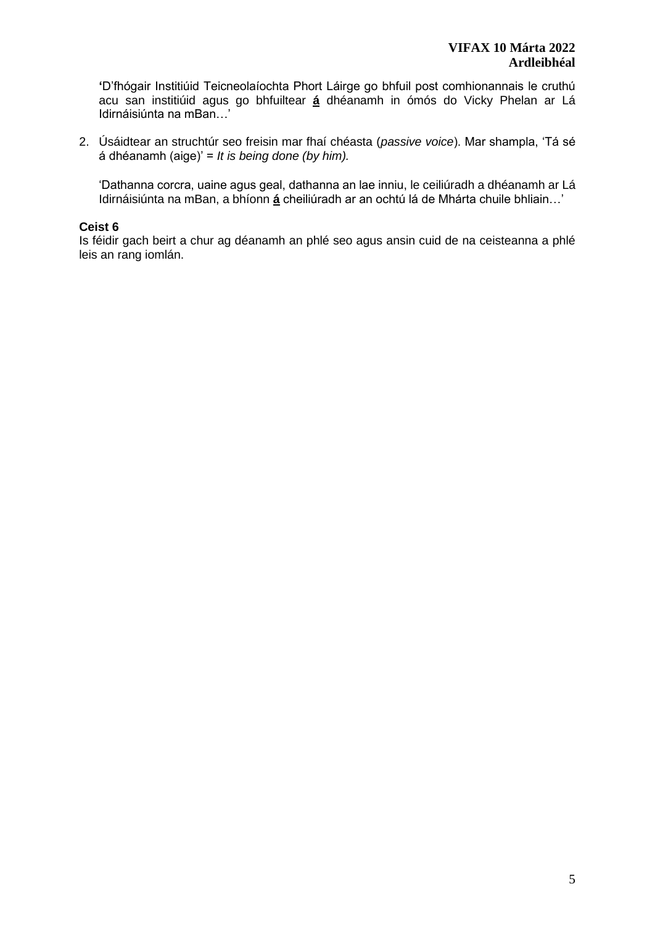**'**D'fhógair Institiúid Teicneolaíochta Phort Láirge go bhfuil post comhionannais le cruthú acu san institiúid agus go bhfuiltear **á** dhéanamh in ómós do Vicky Phelan ar Lá Idirnáisiúnta na mBan…'

2. Úsáidtear an struchtúr seo freisin mar fhaí chéasta (*passive voice*). Mar shampla, 'Tá sé á dhéanamh (aige)' = *It is being done (by him).*

'Dathanna corcra, uaine agus geal, dathanna an lae inniu, le ceiliúradh a dhéanamh ar Lá Idirnáisiúnta na mBan, a bhíonn **á** cheiliúradh ar an ochtú lá de Mhárta chuile bhliain…'

## **Ceist 6**

Is féidir gach beirt a chur ag déanamh an phlé seo agus ansin cuid de na ceisteanna a phlé leis an rang iomlán.